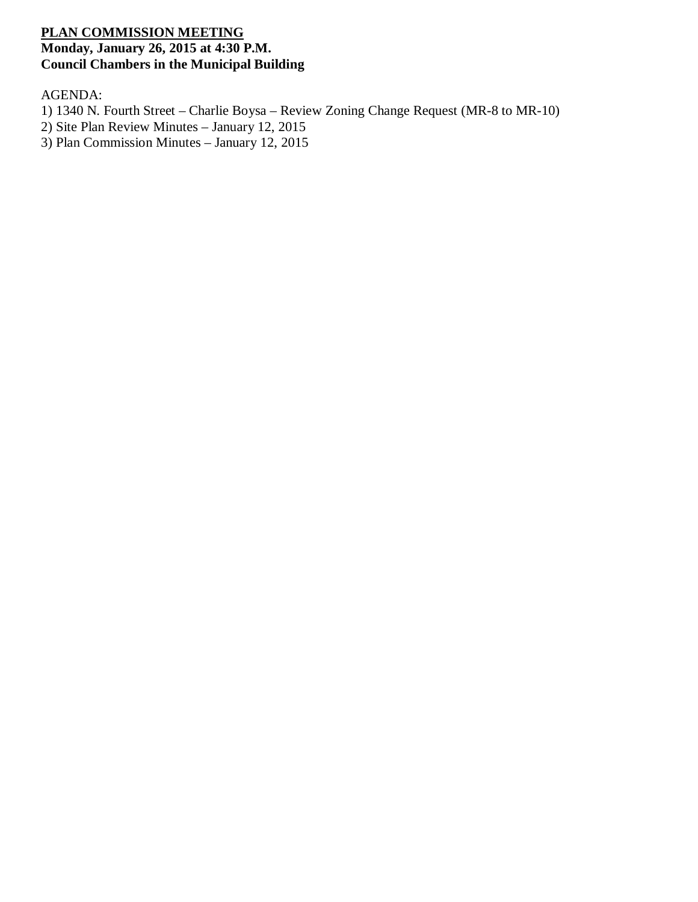## **PLAN COMMISSION MEETING Monday, January 26, 2015 at 4:30 P.M. Council Chambers in the Municipal Building**

AGENDA:

- 1) 1340 N. Fourth Street Charlie Boysa Review Zoning Change Request (MR-8 to MR-10)
- 2) Site Plan Review Minutes January 12, 2015
- 3) Plan Commission Minutes January 12, 2015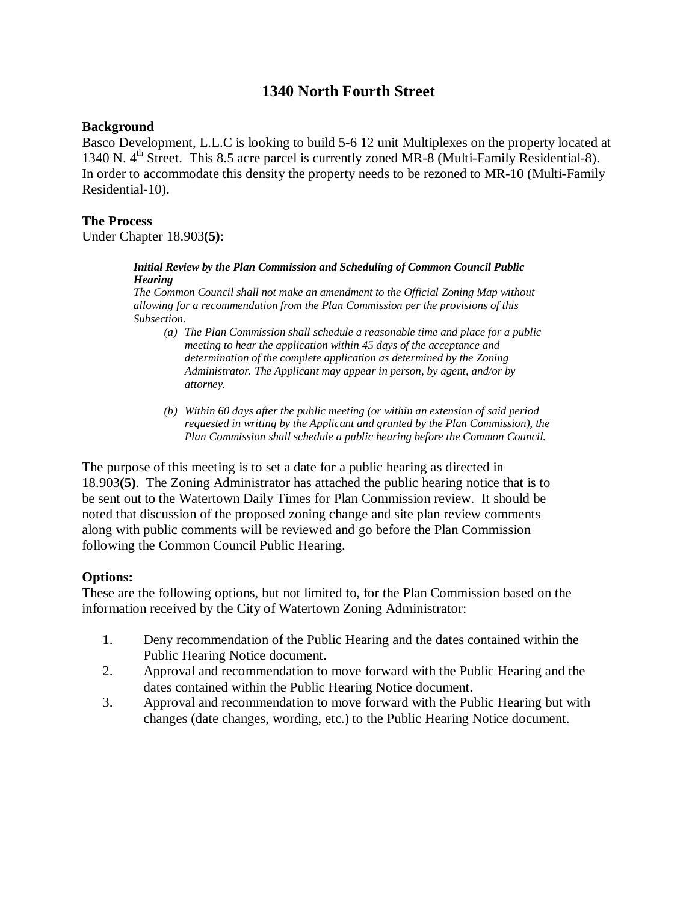# **1340 North Fourth Street**

### **Background**

Basco Development, L.L.C is looking to build 5-6 12 unit Multiplexes on the property located at 1340 N.  $4<sup>th</sup>$  Street. This 8.5 acre parcel is currently zoned MR-8 (Multi-Family Residential-8). In order to accommodate this density the property needs to be rezoned to MR-10 (Multi-Family Residential-10).

## **The Process**

Under Chapter 18.903**(5)**:

### *Initial Review by the Plan Commission and Scheduling of Common Council Public Hearing*

*The Common Council shall not make an amendment to the Official Zoning Map without allowing for a recommendation from the Plan Commission per the provisions of this Subsection.*

- *(a) The Plan Commission shall schedule a reasonable time and place for a public meeting to hear the application within 45 days of the acceptance and determination of the complete application as determined by the Zoning Administrator. The Applicant may appear in person, by agent, and/or by attorney.*
- *(b) Within 60 days after the public meeting (or within an extension of said period requested in writing by the Applicant and granted by the Plan Commission), the Plan Commission shall schedule a public hearing before the Common Council.*

The purpose of this meeting is to set a date for a public hearing as directed in 18.903**(5)**. The Zoning Administrator has attached the public hearing notice that is to be sent out to the Watertown Daily Times for Plan Commission review. It should be noted that discussion of the proposed zoning change and site plan review comments along with public comments will be reviewed and go before the Plan Commission following the Common Council Public Hearing.

## **Options:**

These are the following options, but not limited to, for the Plan Commission based on the information received by the City of Watertown Zoning Administrator:

- 1. Deny recommendation of the Public Hearing and the dates contained within the Public Hearing Notice document.
- 2. Approval and recommendation to move forward with the Public Hearing and the dates contained within the Public Hearing Notice document.
- 3. Approval and recommendation to move forward with the Public Hearing but with changes (date changes, wording, etc.) to the Public Hearing Notice document.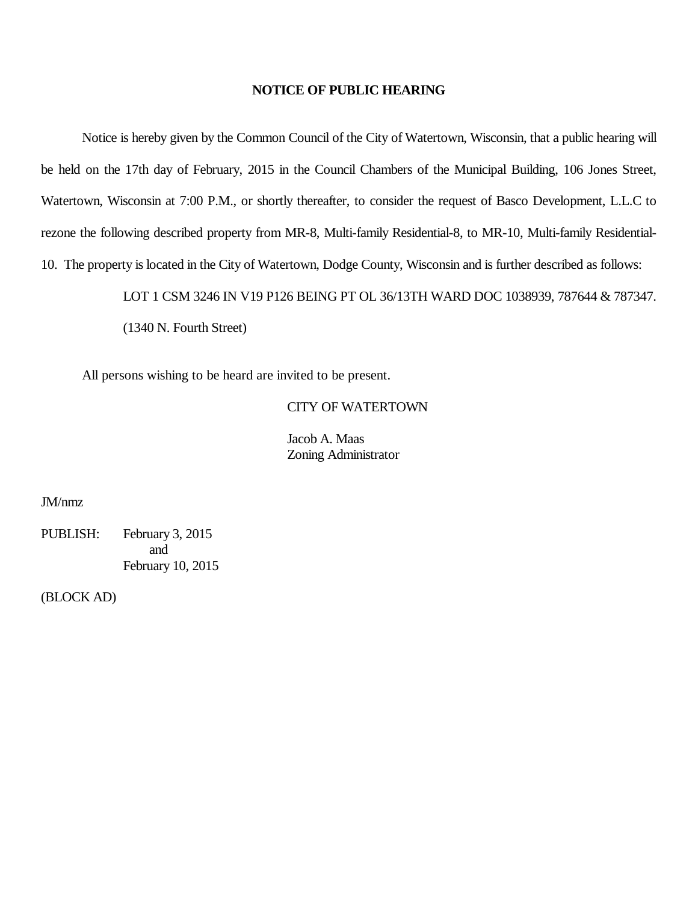### **NOTICE OF PUBLIC HEARING**

Notice is hereby given by the Common Council of the City of Watertown, Wisconsin, that a public hearing will be held on the 17th day of February, 2015 in the Council Chambers of the Municipal Building, 106 Jones Street, Watertown, Wisconsin at 7:00 P.M., or shortly thereafter, to consider the request of Basco Development, L.L.C to rezone the following described property from MR-8, Multi-family Residential-8, to MR-10, Multi-family Residential-10. The property is located in the City of Watertown, Dodge County, Wisconsin and is further described as follows:

LOT 1 CSM 3246 IN V19 P126 BEING PT OL 36/13TH WARD DOC 1038939, 787644 & 787347.

(1340 N. Fourth Street)

All persons wishing to be heard are invited to be present.

### CITY OF WATERTOWN

Jacob A. Maas Zoning Administrator

JM/nmz

PUBLISH: February 3, 2015 and February 10, 2015

(BLOCK AD)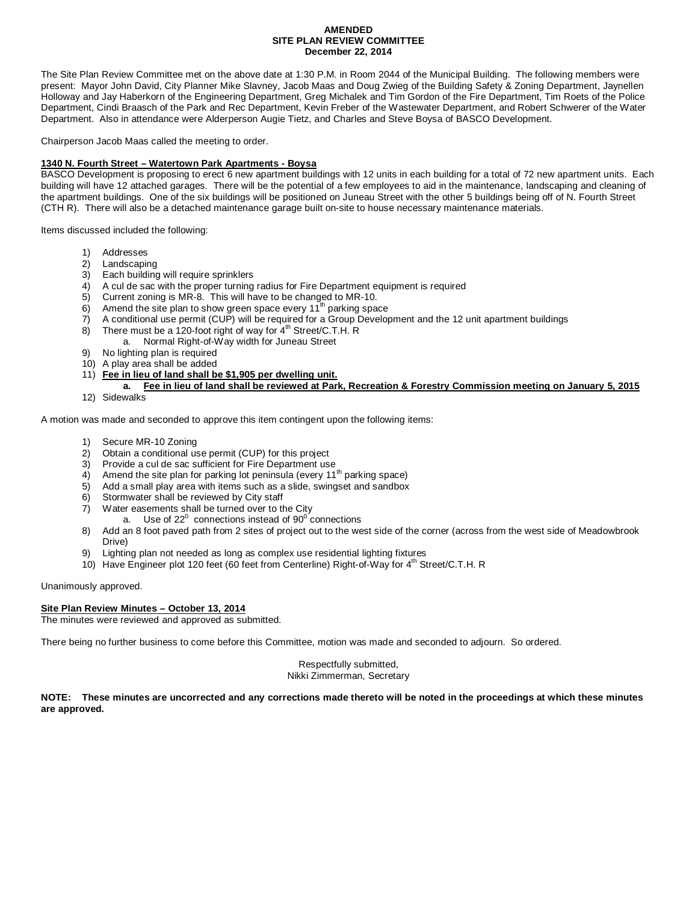#### **AMENDED SITE PLAN REVIEW COMMITTEE December 22, 2014**

The Site Plan Review Committee met on the above date at 1:30 P.M. in Room 2044 of the Municipal Building. The following members were present: Mayor John David, City Planner Mike Slavney, Jacob Maas and Doug Zwieg of the Building Safety & Zoning Department, Jaynellen Holloway and Jay Haberkorn of the Engineering Department, Greg Michalek and Tim Gordon of the Fire Department, Tim Roets of the Police Department, Cindi Braasch of the Park and Rec Department, Kevin Freber of the Wastewater Department, and Robert Schwerer of the Water Department. Also in attendance were Alderperson Augie Tietz, and Charles and Steve Boysa of BASCO Development.

Chairperson Jacob Maas called the meeting to order.

#### **1340 N. Fourth Street – Watertown Park Apartments - Boysa**

BASCO Development is proposing to erect 6 new apartment buildings with 12 units in each building for a total of 72 new apartment units. Each building will have 12 attached garages. There will be the potential of a few employees to aid in the maintenance, landscaping and cleaning of the apartment buildings. One of the six buildings will be positioned on Juneau Street with the other 5 buildings being off of N. Fourth Street (CTH R). There will also be a detached maintenance garage built on-site to house necessary maintenance materials.

Items discussed included the following:

- 1) Addresses
- 2) Landscaping
- 3) Each building will require sprinklers
- 4) A cul de sac with the proper turning radius for Fire Department equipment is required
- 5) Current zoning is MR-8. This will have to be changed to MR-10.
- 6) Amend the site plan to show green space every  $11<sup>th</sup>$  parking space
- 7) A conditional use permit (CUP) will be required for a Group Development and the 12 unit apartment buildings
- 8) There must be a 120-foot right of way for  $4<sup>th</sup>$  Street/C.T.H. R
	- a. Normal Right-of-Way width for Juneau Street
- 9) No lighting plan is required
- 10) A play area shall be added
- 11) **Fee in lieu of land shall be \$1,905 per dwelling unit.**
- **a. Fee in lieu of land shall be reviewed at Park, Recreation & Forestry Commission meeting on January 5, 2015** 12) Sidewalks

A motion was made and seconded to approve this item contingent upon the following items:

- 1) Secure MR-10 Zoning
- 2) Obtain a conditional use permit (CUP) for this project 3) Provide a cul de sac sufficient for Fire Department us
- Provide a cul de sac sufficient for Fire Department use
- 4) Amend the site plan for parking lot peninsula (every  $11<sup>th</sup>$  parking space)<br>5) Add a small play area with items such as a slide, swingset and sandbox
- 5) Add a small play area with items such as a slide, swingset and sandbox 6) Stormwater shall be reviewed by City staff
- Stormwater shall be reviewed by City staff
- 7) Water easements shall be turned over to the City
	- a. Use of 22 $^0$  connections instead of 90 $^0$  connections
- 8) Add an 8 foot paved path from 2 sites of project out to the west side of the corner (across from the west side of Meadowbrook Drive)
- 9) Lighting plan not needed as long as complex use residential lighting fixtures
- 10) Have Engineer plot 120 feet (60 feet from Centerline) Right-of-Way for 4<sup>th</sup> Street/C.T.H. R

Unanimously approved.

#### **Site Plan Review Minutes – October 13, 2014**

The minutes were reviewed and approved as submitted.

There being no further business to come before this Committee, motion was made and seconded to adjourn. So ordered.

Respectfully submitted, Nikki Zimmerman, Secretary

**NOTE: These minutes are uncorrected and any corrections made thereto will be noted in the proceedings at which these minutes are approved.**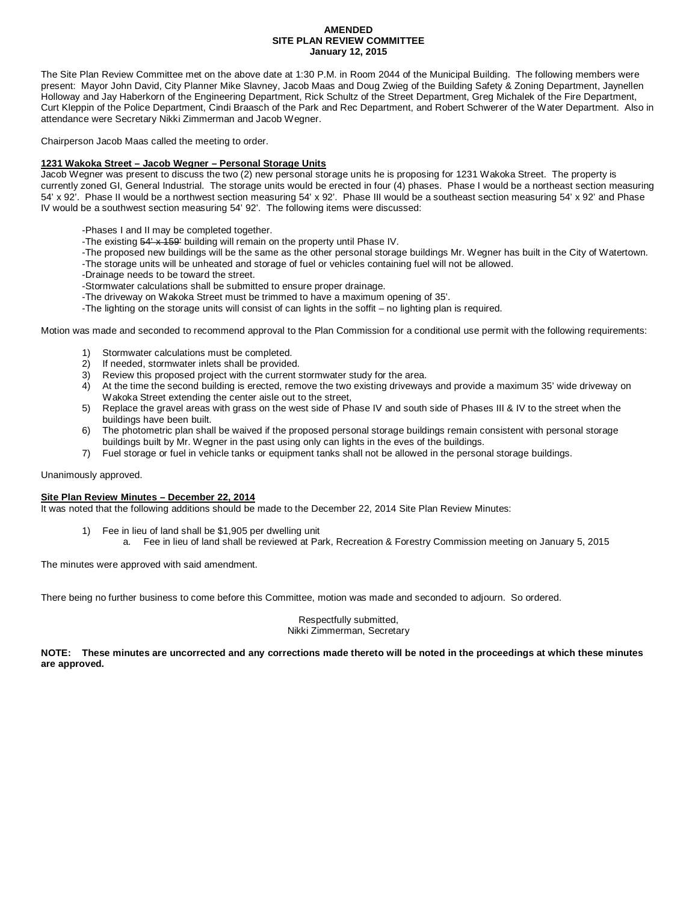#### **AMENDED SITE PLAN REVIEW COMMITTEE January 12, 2015**

The Site Plan Review Committee met on the above date at 1:30 P.M. in Room 2044 of the Municipal Building. The following members were present: Mayor John David, City Planner Mike Slavney, Jacob Maas and Doug Zwieg of the Building Safety & Zoning Department, Jaynellen Holloway and Jay Haberkorn of the Engineering Department, Rick Schultz of the Street Department, Greg Michalek of the Fire Department, Curt Kleppin of the Police Department, Cindi Braasch of the Park and Rec Department, and Robert Schwerer of the Water Department. Also in attendance were Secretary Nikki Zimmerman and Jacob Wegner.

Chairperson Jacob Maas called the meeting to order.

#### **1231 Wakoka Street – Jacob Wegner – Personal Storage Units**

Jacob Wegner was present to discuss the two (2) new personal storage units he is proposing for 1231 Wakoka Street. The property is currently zoned GI, General Industrial. The storage units would be erected in four (4) phases. Phase I would be a northeast section measuring 54' x 92'. Phase II would be a northwest section measuring 54' x 92'. Phase III would be a southeast section measuring 54' x 92' and Phase IV would be a southwest section measuring 54' 92'. The following items were discussed:

-Phases I and II may be completed together.

- -The existing 54' x 159' building will remain on the property until Phase IV.
- -The proposed new buildings will be the same as the other personal storage buildings Mr. Wegner has built in the City of Watertown. -The storage units will be unheated and storage of fuel or vehicles containing fuel will not be allowed.
- -Drainage needs to be toward the street.

-Stormwater calculations shall be submitted to ensure proper drainage.

- -The driveway on Wakoka Street must be trimmed to have a maximum opening of 35'.
- -The lighting on the storage units will consist of can lights in the soffit no lighting plan is required.

Motion was made and seconded to recommend approval to the Plan Commission for a conditional use permit with the following requirements:

- 1) Stormwater calculations must be completed.
- 2) If needed, stormwater inlets shall be provided.
- 3) Review this proposed project with the current stormwater study for the area.
- 4) At the time the second building is erected, remove the two existing driveways and provide a maximum 35' wide driveway on Wakoka Street extending the center aisle out to the street,
- 5) Replace the gravel areas with grass on the west side of Phase IV and south side of Phases III & IV to the street when the buildings have been built.
- 6) The photometric plan shall be waived if the proposed personal storage buildings remain consistent with personal storage buildings built by Mr. Wegner in the past using only can lights in the eves of the buildings.
- 7) Fuel storage or fuel in vehicle tanks or equipment tanks shall not be allowed in the personal storage buildings.

Unanimously approved.

#### **Site Plan Review Minutes – December 22, 2014**

It was noted that the following additions should be made to the December 22, 2014 Site Plan Review Minutes:

1) Fee in lieu of land shall be \$1,905 per dwelling unit a. Fee in lieu of land shall be reviewed at Park, Recreation & Forestry Commission meeting on January 5, 2015

The minutes were approved with said amendment.

There being no further business to come before this Committee, motion was made and seconded to adjourn. So ordered.

Respectfully submitted, Nikki Zimmerman, Secretary

**NOTE: These minutes are uncorrected and any corrections made thereto will be noted in the proceedings at which these minutes are approved.**